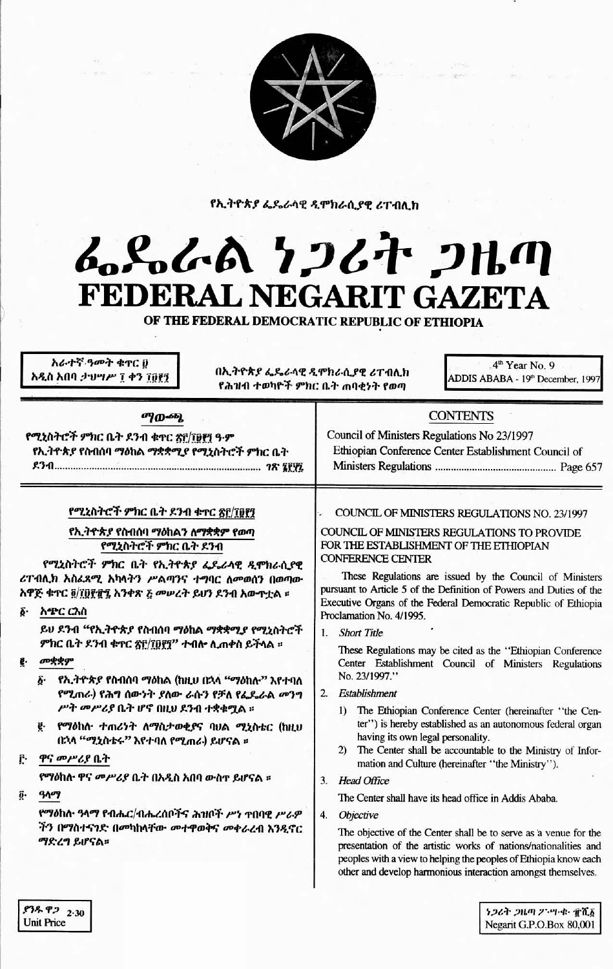

የኢትዮጵያ ፌዴራላዊ ዲሞክራሲያዊ ሪፐብሊክ

# んとんよ ケンムヤ フルの FEDERAL NEGARIT GAZETA

OF THE FEDERAL DEMOCRATIC REPUBLIC OF ETHIOPIA

አራተኛ ዓመት ቁተር ሀ አዲስ አበባ ታህሣሥ ፲ ቀን ፲፱፻፺

በኢትዮጵያ ፌዴራላዊ ዲሞክራሲያዊ ሪፐብሊክ የሕዝብ ተወካዮች ምክር ቤት ጠባቂነት የወጣ

4<sup>th</sup> Year No. 9 ADDIS ABABA - 19th December, 1997

| <b>ማውጫ</b>                                                                                                                                                                                                                                                                                                                                                                                                                                                                                                                                                                                                                                                                                                                                                            | <b>CONTENTS</b>                                                                                                                                                                                                                                                                                                                                                                                                                                                                                                                                                                                                                                                                                                                                                                                                                                                                                                                                                                                                                                                                                                                                                                                                                                                                                  |
|-----------------------------------------------------------------------------------------------------------------------------------------------------------------------------------------------------------------------------------------------------------------------------------------------------------------------------------------------------------------------------------------------------------------------------------------------------------------------------------------------------------------------------------------------------------------------------------------------------------------------------------------------------------------------------------------------------------------------------------------------------------------------|--------------------------------------------------------------------------------------------------------------------------------------------------------------------------------------------------------------------------------------------------------------------------------------------------------------------------------------------------------------------------------------------------------------------------------------------------------------------------------------------------------------------------------------------------------------------------------------------------------------------------------------------------------------------------------------------------------------------------------------------------------------------------------------------------------------------------------------------------------------------------------------------------------------------------------------------------------------------------------------------------------------------------------------------------------------------------------------------------------------------------------------------------------------------------------------------------------------------------------------------------------------------------------------------------|
| የሚኒስትሮች ምክር ቤት ደንብ ቁተር <u>ጽዮ/፲፱፻</u> ፺ ዓ·ም                                                                                                                                                                                                                                                                                                                                                                                                                                                                                                                                                                                                                                                                                                                            | Council of Ministers Regulations No 23/1997                                                                                                                                                                                                                                                                                                                                                                                                                                                                                                                                                                                                                                                                                                                                                                                                                                                                                                                                                                                                                                                                                                                                                                                                                                                      |
| የኢትዮጵያ የስብሰባ ማዕከል ማቋቋሚያ የሚኒስትሮች ምክር ቤት                                                                                                                                                                                                                                                                                                                                                                                                                                                                                                                                                                                                                                                                                                                                | Ethiopian Conference Center Establishment Council of                                                                                                                                                                                                                                                                                                                                                                                                                                                                                                                                                                                                                                                                                                                                                                                                                                                                                                                                                                                                                                                                                                                                                                                                                                             |
|                                                                                                                                                                                                                                                                                                                                                                                                                                                                                                                                                                                                                                                                                                                                                                       |                                                                                                                                                                                                                                                                                                                                                                                                                                                                                                                                                                                                                                                                                                                                                                                                                                                                                                                                                                                                                                                                                                                                                                                                                                                                                                  |
| የሚኒስትሮች ምክር ቤት ደንብ ቁተር ፳፫/፲፱፻፺<br>የኢ <i>ት</i> ዮጵያ የስብሰባ ማዕከልን ለማቋቋም የወጣ<br>የሚኒስትሮች ምክር ቤት ደንብ<br>የሚኒስትሮች ምክር ቤት የኢትዮጵያ ፌዴሪላዊ ዲሞክራሲያዊ<br>ሪፐብሊክ አስሬጸሚ አካላትን ሥልጣንና ተግባር ለመወሰን በወጣው<br>አዋጅ ቁተር ፬/፲፱፻፹፺ አንቀጽ ፩ መሠረት ይሆን ደንብ አውተቷል ፡፡<br>አጭር ርእስ<br>δ٠<br>ይህ ደንብ "የኢትዮጵያ የስብሰባ ማዕከል ማቋቋሚያ የሚኒስትሮች<br>ምክር ቤት ደንብ ቁጥር <u>ጽԲ/፲፱፻</u> ፺" ተብሎ ሲጠቀስ ይችላል ፡፡<br><b><i>abggg</i></b><br>e.<br>የኢ <i>ትዮጵያ የ</i> ስብሰባ ማዕከል (ከዚህ በኋላ "ማዕከሉ" እየተባለ<br>δ.<br>የሚጠራ) የሕግ ሰውነት ያለው ራሱን የቻለ የፌዴራል መንግ<br>ሥት መሥሪያ ቤት ሆኖ በዚህ ደንብ ተቋቁሟል ።<br>የማዕከለ· ተጠሪነት ለማስታወቂያና ባህል ሚኒስቴር (ከዚህ<br>ğ.<br>በኋላ "ሚኒስቴሩ" እየተባለ የሚጠራ) ይሆናል ።<br>ዋና መሥሪያ ቤት<br>የማዕከሉ ዋና መሥሪያ ቤት በአዲስ አበባ ውስተ ይሆናል ።<br>ï٠<br>9109<br>የማዕከሉ ዓላማ የብሔር/ብሔረሰቦችና ሕዝቦች ሥነ ተበባዊ ሥራዎ<br>ችን በማስተናንድ በመካከላቸው መተዋወቅና መቀራረብ እንዲኖር<br>ማድረግ ይሆናል። | COUNCIL OF MINISTERS REGULATIONS NO. 23/1997<br>COUNCIL OF MINISTERS REGULATIONS TO PROVIDE<br>FOR THE ESTABLISHMENT OF THE ETHIOPIAN<br><b>CONFERENCE CENTER</b><br>These Regulations are issued by the Council of Ministers<br>pursuant to Article 5 of the Definition of Powers and Duties of the<br>Executive Organs of the Federal Democratic Republic of Ethiopia<br>Proclamation No. 4/1995.<br><b>Short Title</b><br>1<br>These Regulations may be cited as the "Ethiopian Conference<br>Center Establishment Council of Ministers Regulations<br>No. 23/1997."<br>Establishment<br>2<br>The Ethiopian Conference Center (hereinafter "the Cen-<br>$\mathbf{D}$<br>ter") is hereby established as an autonomous federal organ<br>having its own legal personality.<br>The Center shall be accountable to the Ministry of Infor-<br>2)<br>mation and Culture (hereinafter "the Ministry").<br>3 <sub>1</sub><br><b>Head Office</b><br>The Center shall have its head office in Addis Ababa.<br>Objective<br>4.<br>The objective of the Center shall be to serve as a venue for the<br>presentation of the artistic works of nations/nationalities and<br>peoples with a view to helping the peoples of Ethiopia know each<br>other and develop harmonious interaction amongst themselves. |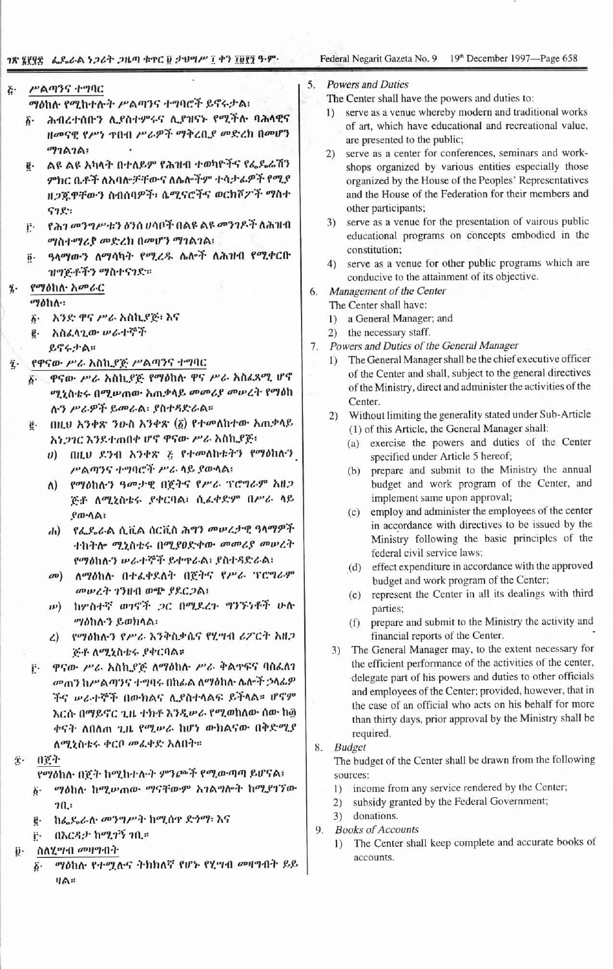# ገጽ ፯፻፶፰ – ፌዴራራል ነጋሪት ጋዜጣ ቁጥር ፱ ታህሣሥ ፲ ቀን ፲፱፻፺ ዓ-ም-

Federal Negarit Gazeta No. 9 19th December 1997—Page 658

## ሥልጣንና ተግባር  $\ddot{c}$

ማዕከሉ የሚከተሉት ሥልጣንና ተግባሮች ይኖሩታል፤

- ፩· ሕብረተሰቡን ሊያስተምሩና ሊያዝናኑ የሚችሉ ባሕላዊና ዘመናዊ የሥነ ጥበብ ሥራዎች ማቅረቢያ መድረክ በመሆን ማገልገል:
- g. ልዩ ልዩ አካላት በተለይም የሕዝብ ተወካዮችና የፌዴሬሽን ምክር ቤቶች ለአባሎቻቸውና ለሌሎችም ተሳታፊዎች የሚያ ዘጋጁዋቸውን ስብሰባዎች፡ ሴሚናሮችና ወርክሾፖች ማስተ  $92:5$
- i የሕገ መንግሥቱን ዕንሰ ሀሳቦች በልዩ ልዩ መንገዶች ለሕዝብ ማስተማሪያ መድረክ በመሆን ማገልገል፡
- ዓላማውን ለማሳካት የሚረዱ ሌሎች ለሕዝብ የሚቀርቡ  $\vec{0}$ . ዝግጅቶችን ማስተናገድ።

#### የማዕከሉ አመራር ī.

 $\omega$ bha-

- ፩• አንድ ዋና ሥራ አስኪያጅ፡ እና
- **፪· አስፈላጊው ሥራተኞች** 
	- ይኖሩታል።
- የዋናው ሥራ አስኪያጅ ሥልጣንና ተግባር
	- δ· ዋናው ሥራ አስኪያጅ የማዕከሉ ዋና ሥራ አስፈጻሚ ሆኖ ሚኒስቴሩ በሚሥጠው አጠቃላይ መመሪያ መሠረት የማዕከ ሉን ሥራዎች ይመራል፡ ያስተዳድራል።
	- በዚህ አንቀጽ ንዑስ አንቀጽ (፩) የተመለከተው አጠቃላይ ë. አነ*ጋገር* እንደተጠበቀ ሆኖ ዋናው ሥራ አስኪያጅ፣
		- υ) በዚህ ደንብ አንቀጽ ፭ የተመለከቱትን የማዕከሉን ሥልጣንና ተግባሮች ሥራ ላይ ያውላል፡
		- የማዕከሉን ዓመታዊ በጀትና የሥራ ፕሮግራም አዘጋ ለ) ጅቶ ለሚኒስቴሩ ያቀርባል፡ ሲፈቀድም በሥራ ላይ  $\rho \omega \cdot \Delta \wedge$
		- የፌዶራል ሲቪል ሰርቪስ ሕግን መሠረታዊ ዓላማዎች  $\mathbf{d}$ ተከትሎ ሚኒስቴሩ በሚያፀድቀው መመሪያ መሠረት የማዕከሉን ሥራተኞች ይቀተራል፡ ያስተዳድራል፡
		- መ) ለማዕከሉ በተፈቀደለት በጀትና የሥራ ፕሮግራም መሠረት ገንዘብ ወጭ የደርጋል፤
		- ω) ከሦስተኛ ወገኖች ጋር በሚደረጉ ግንኙነቶች ሁስ *ማስ*ከሉን ይወክላል፡
		- ረ) የማዕከሉን የሥራ እንቅስቃሴና የሂሣብ ሪፖርት አዘጋ ጅቶ ለሚኒስቴሩ ያቀርባል።
	- ዋናው ሥራ አስኪያጅ ለማዕከሉ ሥራ ቅልዋፍና ባስፌስን Ë۰ መጠን ከሥልጣንና ተግባሩ በከፊል ለማዕከሉ ሴሎች ኃላፊዎ ችና ሥራተኞች በውክልና ሊያስተላልፍ ይችላል። ሆኖም እርሱ በማይኖር ጊዜ ተክቶ እንዲሥራ የሚወከለው ሰው ከ፴ ቀናት ለበለጠ ጊዜ የሚሥራ ከሆነ ውክልናው በቅድሚያ ለሚኒስቴሩ ቀርቦ መፈቀድ አለበት።

ድ- በ<u>ጀ</u>ተ

- የማዕከለ• በጀት ከሚከተሉት ምንጮች የሚውጣጣ ይሆናል፣  $\vec{b}$ . ማዕከሉ ከሚሥጠው ማናቸውም አገልግሎት ከሚያገኘው
- $20.5$
- ከፌዴራሉ መንግሥት ከሚሰዋ ድንማ፡ እና  $\vec{e}$ .
- በእርዳታ ከሚገኝ ነቢ። f٠.
- ስለሂሣብ መዛግብት ij٠
	- ማዕከሉ የተሟሉና ትክክለኛ የሆኑ የሂሣብ መዛግብት ይይ  $\vec{b}$ .  $H\triangle$ :

### **Powers and Duties** 5.

The Center shall have the powers and duties to:

- 1) serve as a venue whereby modern and traditional works of art, which have educational and recreational value, are presented to the public;
- serve as a center for conferences, seminars and work- $2)$ shops organized by various entities especially those organized by the House of the Peoples' Representatives and the House of the Federation for their members and other participants;
- 3) serve as a venue for the presentation of vairous public educational programs on concepts embodied in the constitution;
- 4) serve as a venue for other public programs which are conducive to the attainment of its objective.
- Management of the Center 6.
	- The Center shall have:
	- 1) a General Manager; and
	- 2) the necessary staff.
- 7. Powers and Duties of the General Manager
	- The General Manager shall be the chief executive officer  $1)$ of the Center and shall, subject to the general directives of the Ministry, direct and administer the activities of the Center.
	- 2) Without limiting the generality stated under Sub-Article (1) of this Article, the General Manager shall:
		- (a) exercise the powers and duties of the Center specified under Article 5 hereof;
		- (b) prepare and submit to the Ministry the annual budget and work program of the Center, and implement same upon approval;
		- (c) employ and administer the employees of the center in accordance with directives to be issued by the Ministry following the basic principles of the federal civil service laws;
		- (d) effect expenditure in accordance with the approved budget and work program of the Center;
		- (e) represent the Center in all its dealings with third parties;
		- prepare and submit to the Ministry the activity and  $(f)$ financial reports of the Center.
	- 3) The General Manager may, to the extent necessary for the efficient performance of the activities of the center, delegate part of his powers and duties to other officials and employees of the Center; provided, however, that in the case of an official who acts on his behalf for more than thirty days, prior approval by the Ministry shall be required.
- 8. Budget

The budget of the Center shall be drawn from the following sources:

- 1) income from any service rendered by the Center;
- subsidy granted by the Federal Government;  $2)$
- donations.  $3)$
- 9. Books of Accounts
	- 1) The Center shall keep complete and accurate books of accounts.